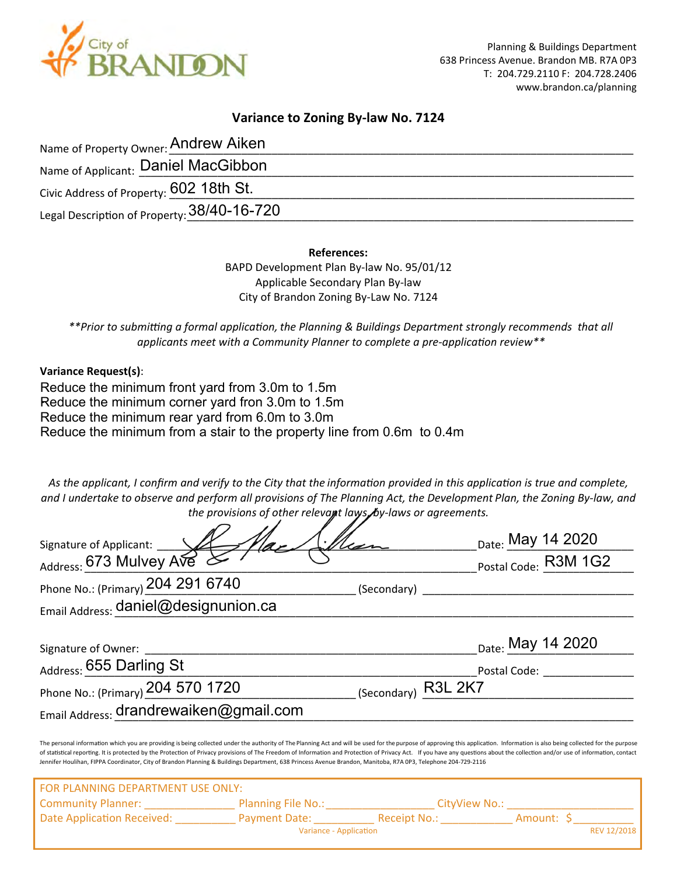

## **Variance to Zoning By-law No. 7124**

| Name of Property Owner: Andrew Aiken        |  |
|---------------------------------------------|--|
| Name of Applicant: Daniel MacGibbon         |  |
| Civic Address of Property: 602 18th St.     |  |
| Legal Description of Property: 38/40-16-720 |  |

**References:**

BAPD Development Plan By-law No. 95/01/12 Applicable Secondary Plan By-law City of Brandon Zoning By-Law No. 7124

*\*\*Prior to submi�ng a formal applica�on, the Planning & Buildings Department strongly recommends that all* applicants meet with a Community Planner to complete a pre-application review<sup>\*\*</sup>

**Variance Request(s)**:

Reduce the minimum front yard from 3.0m to 1.5m Reduce the minimum corner yard fron 3.0m to 1.5m Reduce the minimum rear yard from 6.0m to 3.0m Reduce the minimum from a stair to the property line from 0.6m to 0.4m

*As the applicant, I confirm and verify to the City that the informa�on provided in this applica�on is true and complete, and I undertake to observe and perform all provisions of The Planning Act, the Development Plan, the Zoning By-law, and the provisions of other relevant laws, by-laws or agreements.*

|                                                                                                                                                                                                                                                                                                                                                                                                                                                                                                                                                                                                                                   | Date: May 14 2020            |
|-----------------------------------------------------------------------------------------------------------------------------------------------------------------------------------------------------------------------------------------------------------------------------------------------------------------------------------------------------------------------------------------------------------------------------------------------------------------------------------------------------------------------------------------------------------------------------------------------------------------------------------|------------------------------|
|                                                                                                                                                                                                                                                                                                                                                                                                                                                                                                                                                                                                                                   | Postal Code: R3M 1G2         |
| Phone No.: (Primary) 204 291 6740                                                                                                                                                                                                                                                                                                                                                                                                                                                                                                                                                                                                 | (Secondary)                  |
| Email Address: daniel@designunion.ca                                                                                                                                                                                                                                                                                                                                                                                                                                                                                                                                                                                              |                              |
| Signature of Owner:                                                                                                                                                                                                                                                                                                                                                                                                                                                                                                                                                                                                               | <sub>Date:</sub> May 14 2020 |
| Address: 655 Darling St                                                                                                                                                                                                                                                                                                                                                                                                                                                                                                                                                                                                           | Postal Code:                 |
| Phone No.: (Primary) 204 570 1720                                                                                                                                                                                                                                                                                                                                                                                                                                                                                                                                                                                                 | (Secondary) R3L 2K7          |
| Email Address: drandrewaiken@gmail.com                                                                                                                                                                                                                                                                                                                                                                                                                                                                                                                                                                                            |                              |
| The personal information which you are providing is being collected under the authority of The Planning Act and will be used for the purpose of approving this application. Information is also being collected for the purpos<br>of statistical reporting. It is protected by the Protection of Privacy provisions of The Freedom of Information and Protection of Privacy Act. If you have any questions about the collection and/or use of information, conta<br>Jennifer Houlihan, FIPPA Coordinator, City of Brandon Planning & Buildings Department, 638 Princess Avenue Brandon, Manitoba, R7A 0P3, Telephone 204-729-2116 |                              |
| <u>EOD DI ANNINIC BEDADTMENIT LICE ONILV.</u>                                                                                                                                                                                                                                                                                                                                                                                                                                                                                                                                                                                     |                              |

FOR PLANNING DEPARTMENT USE ONLY: Community Planner: \_\_\_\_\_\_\_\_\_\_\_\_\_\_\_\_\_\_\_\_\_\_\_\_ Planning File No.: \_\_\_\_\_\_\_\_\_\_\_\_\_\_\_\_\_\_\_\_\_\_\_\_CityView No.: \_ Date Application Received: \_\_\_\_\_\_\_\_\_\_\_ Payment Date: \_\_\_\_\_\_\_\_\_\_\_\_\_\_ Receipt No.: \_\_\_\_\_\_\_\_\_\_\_\_ Amount: \$ Variance - Application **REV 12/2018**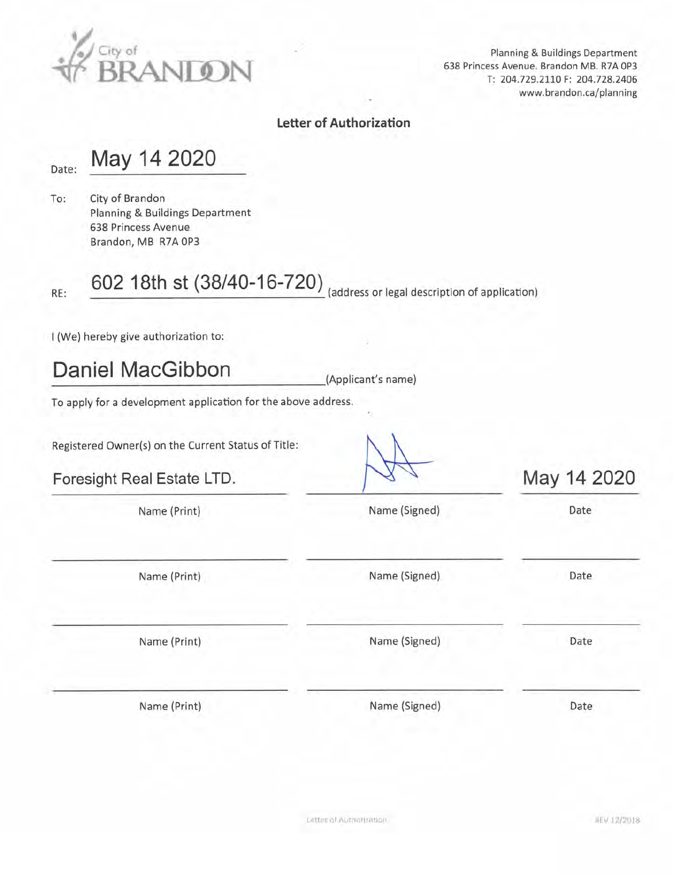

Planning & Buildings Department 638 Princess Avenue. Brandon MB. R7A 0P3 T: 204.729.2110 F: 204.728.2406 www.brandon.ca/planning

# **Letter of Authorization**

### Date:

May 14 2020

City of Brandon To: Planning & Buildings Department 638 Princess Avenue Brandon, MB R7A 0P3

RE:

602 18th st (38/40-16-720) (address or legal description of application)

I (We) hereby give authorization to:

**Daniel MacGibbon** 

(Applicant's name)

To apply for a development application for the above address.

Registered Owner(s) on the Current Status of Title:

Foresight Real Estate LTD.

May 14 2020

| Name (Print) | Name (Signed) | Date |
|--------------|---------------|------|
| Name (Print) | Name (Signed) | Date |
| Name (Print) | Name (Signed) | Date |
| Name (Print) | Name (Signed) | Date |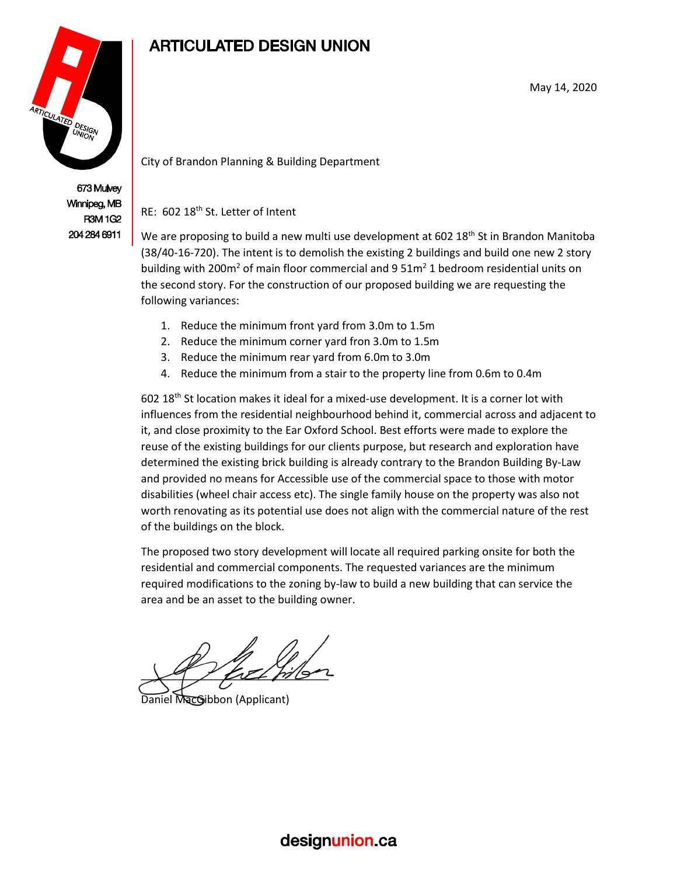

673 Mulvey Winnipeg, MB **R3M1G2** 204 284 6911

# **ARTICULATED DESIGN UNION**

May 14, 2020

City of Brandon Planning & Building Department

RE: 602 18<sup>th</sup> St. Letter of Intent

We are proposing to build a new multi use development at 602  $18<sup>th</sup>$  St in Brandon Manitoba (38/40-16-720). The intent is to demolish the existing 2 buildings and build one new 2 story building with 200 $m^2$  of main floor commercial and 9 51 $m^2$  1 bedroom residential units on the second story. For the construction of our proposed building we are requesting the following variances:

- 1. Reduce the minimum front yard from 3.0m to 1.5m
- 2. Reduce the minimum corner yard fron 3.0m to 1.5m
- 3. Reduce the minimum rear yard from 6.0m to 3.0m
- 4. Reduce the minimum from a stair to the property line from 0.6m to 0.4m

602 18th St location makes it ideal for a mixed-use development. It is a corner lot with influences from the residential neighbourhood behind it, commercial across and adjacent to it, and close proximity to the Ear Oxford School. Best efforts were made to explore the reuse of the existing buildings for our clients purpose, but research and exploration have determined the existing brick building is already contrary to the Brandon Building By-Law and provided no means for Accessible use of the commercial space to those with motor disabilities (wheel chair access etc). The single family house on the property was also not worth renovating as its potential use does not align with the commercial nature of the rest of the buildings on the block.

The proposed two story development will locate all required parking onsite for both the residential and commercial components. The requested variances are the minimum required modifications to the zoning by-law to build a new building that can service the area and be an asset to the building owner.

 $\searrow$  of title pilon

Daniel MacGibbon (Applicant)

# designunion.ca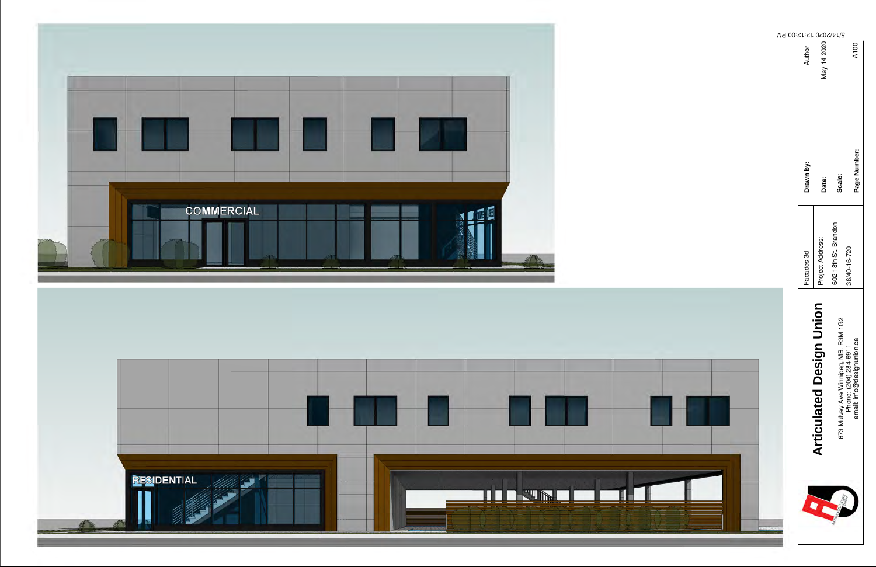



|                                                                                             |                      |              | Md                                         |
|---------------------------------------------------------------------------------------------|----------------------|--------------|--------------------------------------------|
|                                                                                             | Facades 3d           | Drawn by:    | 00:S1:S1<br>Author                         |
| <b>Articulated Design Union</b>                                                             | Project Address:     | Date:        | $020Z/V1/G$<br>$0QQQV/V1/G$<br>$0QQV/V1/G$ |
|                                                                                             | 602 18th St. Brandon | Scale:       |                                            |
| 673 Mulvey Ave Winnipeg, MB. R3M 1G2<br>Phone: (204) 284-6911<br>emali: info@designunion.ca | 38/40-16-720         | Page Number: | A100                                       |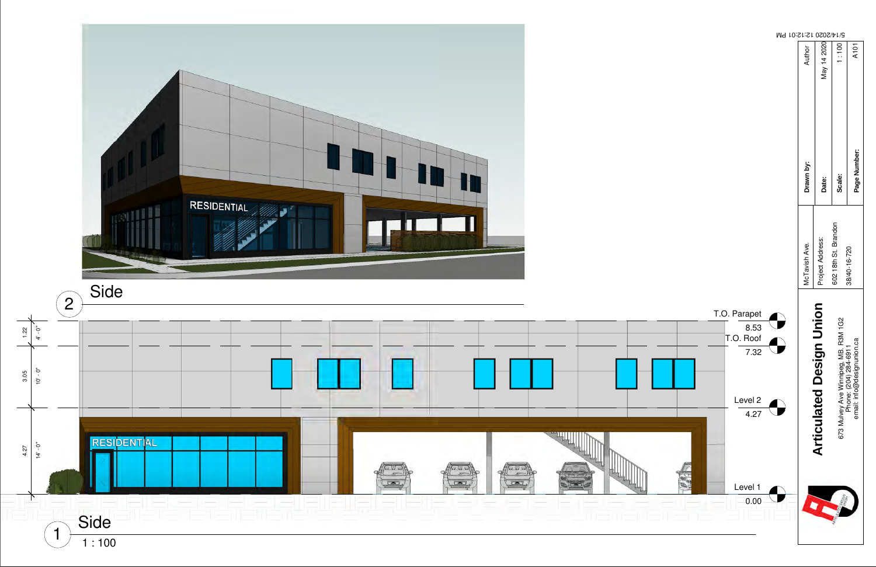|                                           | M9 10:S1:S1 0202\4/5 |               |                                 |                      |                                                                                             |
|-------------------------------------------|----------------------|---------------|---------------------------------|----------------------|---------------------------------------------------------------------------------------------|
|                                           |                      | Author        | May 14 2020                     | 1:100                | A101                                                                                        |
|                                           |                      | Drawn by:     | Date:                           | Scale:               | Page Number:                                                                                |
|                                           |                      | McTavish Ave. | Project Address:                | 602 18th St. Brandon | 38/40-16-720                                                                                |
| T.O. Parapet<br>8.53<br>T.O. Roof<br>7.32 |                      |               | <b>Articulated Design Union</b> |                      | 673 Mulvey Ave Winnipeg, MB. R3M 1G2<br>Phone: (204) 284-6911<br>email: info@designunion.ca |
| Level 2<br>4.27                           |                      |               |                                 |                      |                                                                                             |
| Level 1<br>0.00                           |                      |               |                                 |                      |                                                                                             |



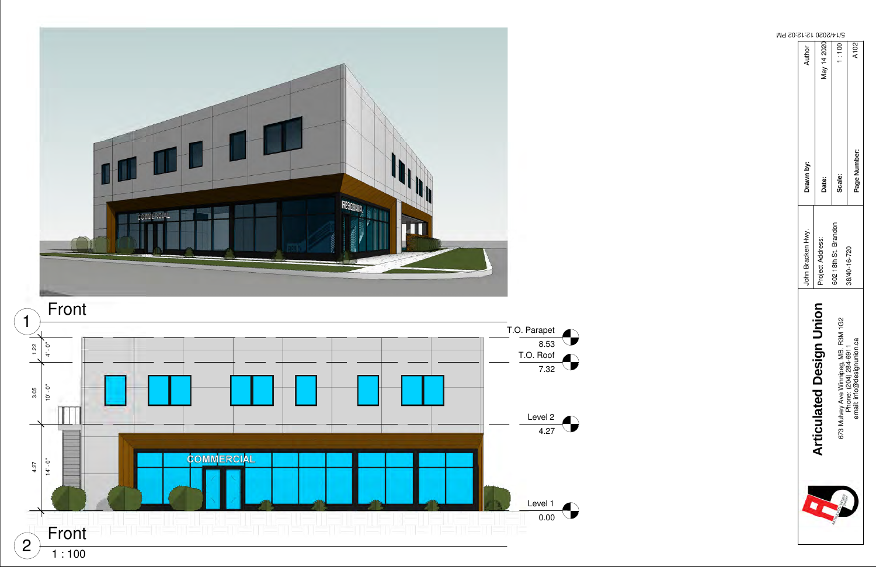| Author<br>Drawn by: | May 14 2020                          | 1:100                                                                         | A102<br>Page Number:       |
|---------------------|--------------------------------------|-------------------------------------------------------------------------------|----------------------------|
| John Bracken Hwy.   | Date:<br>Project Address:            | Scale:<br>602 18th St. Brandon                                                | 38/40-16-720               |
|                     | agn Union<br><b>Articulated Desi</b> | <b>MB. R3M 1G2</b><br>673 Mulvey Ave Winnipeg, MB. F<br>Phone: (204) 284-6911 | email: info@designunion.ca |
|                     |                                      |                                                                               |                            |

#### 5/14/2020 12:12:02 PM



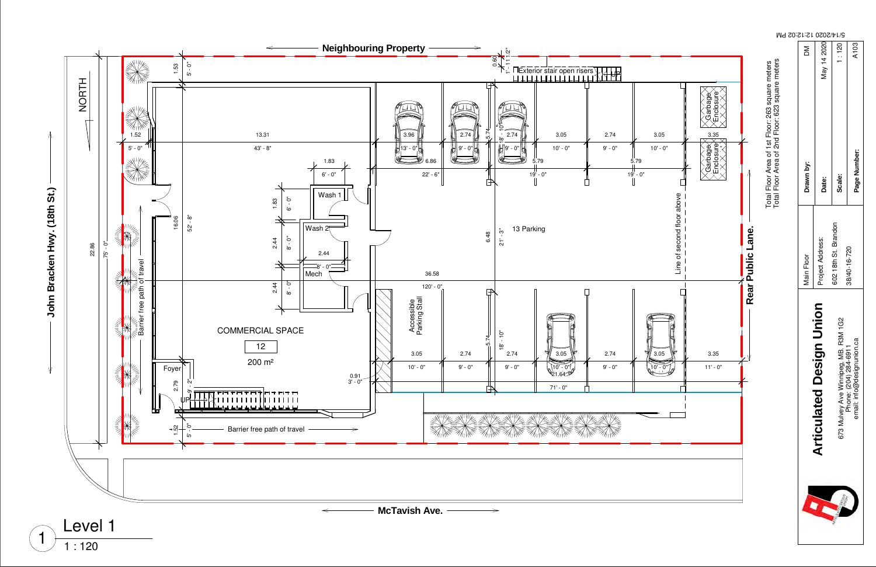

|                                                                                         |                                                                                                      | M9 20:21:21 0202/4/15 |                                 |                      |                                                                                             |
|-----------------------------------------------------------------------------------------|------------------------------------------------------------------------------------------------------|-----------------------|---------------------------------|----------------------|---------------------------------------------------------------------------------------------|
|                                                                                         |                                                                                                      | Σ                     | May 14 2020                     | 1:120                | A103                                                                                        |
| Enclosure<br>Garbage<br>3.05<br>$\frac{3.35}{2}$<br>Enclosure<br>$10' - 0''$<br>Garbage | Total Floor Area of 1st Floor: 263 square meters<br>Total Floor Area of 2nd Floor: 623 square meters | Drawn by:             | Date:                           | Scale:               | Page Number:                                                                                |
|                                                                                         |                                                                                                      |                       |                                 |                      |                                                                                             |
| Line of second floor above                                                              | Rear Public Lane.                                                                                    | Main Floor            | Project Address:                | 602 18th St. Brandon | 38/40-16-720                                                                                |
| በ5<br>3.35<br>3<br>$11' - 0''$<br>$\overline{0}$                                        |                                                                                                      |                       | <b>Articulated Design Union</b> |                      | 673 Mulvey Ave Winnipeg, MB. R3M 1G2<br>Phone: (204) 284-6911<br>emali: info@designunion.ca |
|                                                                                         |                                                                                                      |                       |                                 |                      |                                                                                             |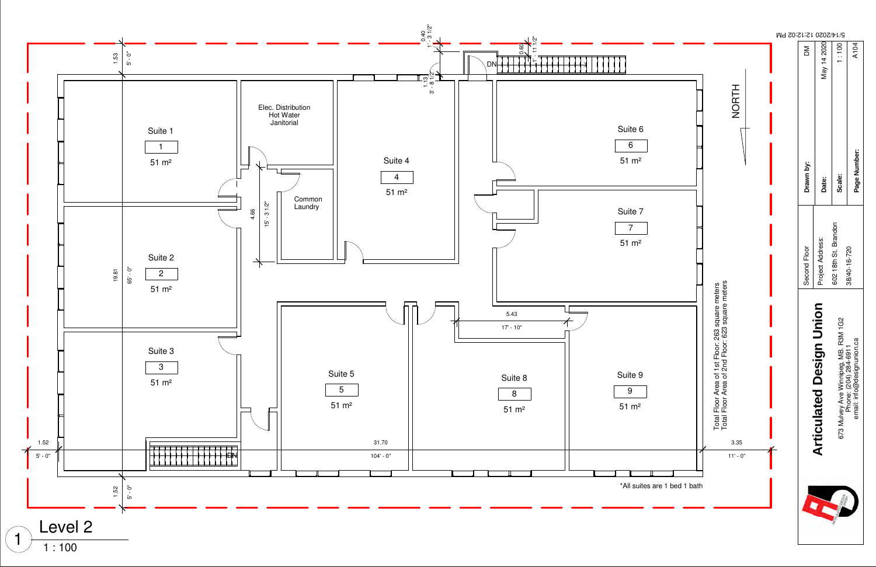